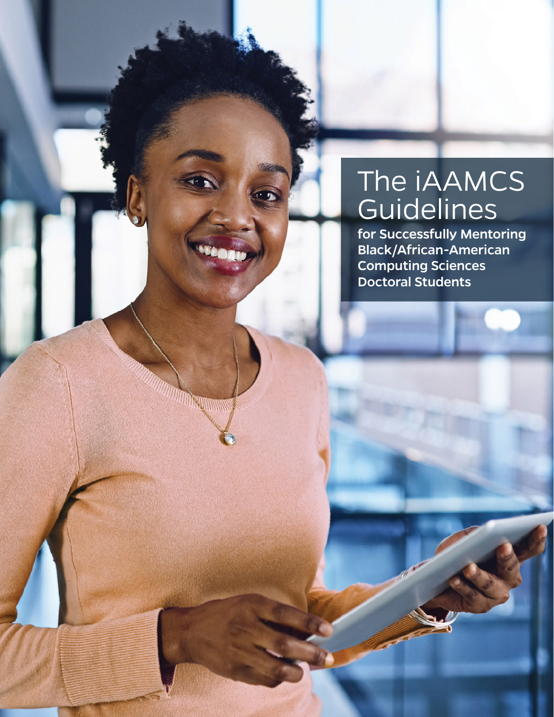# The iAAMCS **Guidelines**

for Successfully Mentoring Black/African-American Computing Sciences Doctoral Students

**MARTINGO MARIA**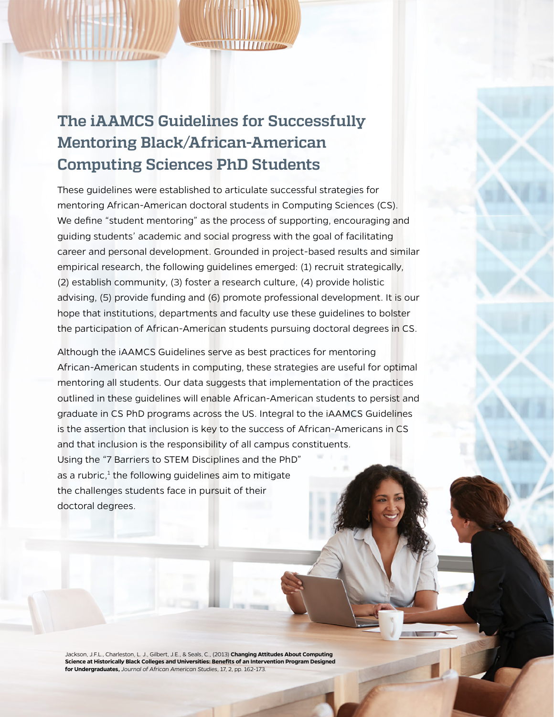## **The iAAMCS Guidelines for Successfully Mentoring Black/African-American Computing Sciences PhD Students**

These guidelines were established to articulate successful strategies for mentoring African-American doctoral students in Computing Sciences (CS). We define "student mentoring" as the process of supporting, encouraging and guiding students' academic and social progress with the goal of facilitating career and personal development. Grounded in project-based results and similar empirical research, the following guidelines emerged: (1) recruit strategically, (2) establish community, (3) foster a research culture, (4) provide holistic advising, (5) provide funding and (6) promote professional development. It is our hope that institutions, departments and faculty use these guidelines to bolster the participation of African-American students pursuing doctoral degrees in CS.

Although the iAAMCS Guidelines serve as best practices for mentoring African-American students in computing, these strategies are useful for optimal mentoring all students. Our data suggests that implementation of the practices outlined in these guidelines will enable African-American students to persist and graduate in CS PhD programs across the US. Integral to the iAAMCS Guidelines is the assertion that inclusion is key to the success of African-Americans in CS and that inclusion is the responsibility of all campus constituents. Using the "7 Barriers to STEM Disciplines and the PhD" as a rubric, $1$  the following guidelines aim to mitigate the challenges students face in pursuit of their doctoral degrees.

Jackson, J.F.L., Charleston, L. J., Gilbert, J.E., & Seals, C., (2013) **Changing Attitudes About Computing Science at Historically Black Colleges and Universities: Benefits of an Intervention Program Designed for Undergraduates,** *Journal of African American Studies*, 17, 2, pp. 162-173.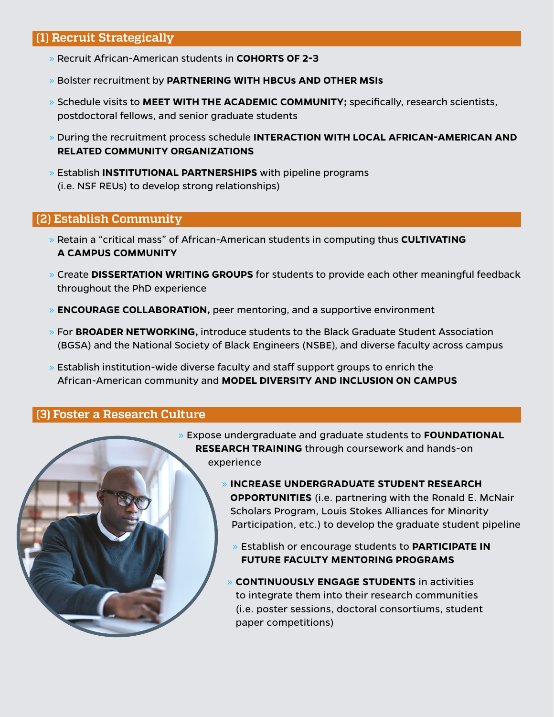#### **(1) Recruit Strategically**

- » Recruit African-American students in **COHORTS OF 2-3**
- » Bolster recruitment by **PARTNERING WITH HBCUs AND OTHER MSIs**
- » Schedule visits to **MEET WITH THE ACADEMIC COMMUNITY;** specifically, research scientists, postdoctoral fellows, and senior graduate students
- » During the recruitment process schedule **INTERACTION WITH LOCAL AFRICAN-AMERICAN AND RELATED COMMUNITY ORGANIZATIONS**
- » Establish **INSTITUTIONAL PARTNERSHIPS** with pipeline programs (i.e. NSF REUs) to develop strong relationships)

#### **(2) Establish Community**

- » Retain a "critical mass" of African-American students in computing thus **CULTIVATING A CAMPUS COMMUNITY**
- » Create **DISSERTATION WRITING GROUPS** for students to provide each other meaningful feedback throughout the PhD experience
- » **ENCOURAGE COLLABORATION,** peer mentoring, and a supportive environment
- » For **BROADER NETWORKING,** introduce students to the Black Graduate Student Association (BGSA) and the National Society of Black Engineers (NSBE), and diverse faculty across campus
- » Establish institution-wide diverse faculty and staff support groups to enrich the African-American community and **MODEL DIVERSITY AND INCLUSION ON CAMPUS**

#### **(3) Foster a Research Culture**



- » Expose undergraduate and graduate students to **FOUNDATIONAL RESEARCH TRAINING** through coursework and hands-on experience
	- » **INCREASE UNDERGRADUATE STUDENT RESEARCH OPPORTUNITIES** (i.e. partnering with the Ronald E. McNair Scholars Program, Louis Stokes Alliances for Minority Participation, etc.) to develop the graduate student pipeline
		- » Establish or encourage students to **PARTICIPATE IN FUTURE FACULTY MENTORING PROGRAMS**
	- » **CONTINUOUSLY ENGAGE STUDENTS** in activities to integrate them into their research communities (i.e. poster sessions, doctoral consortiums, student paper competitions)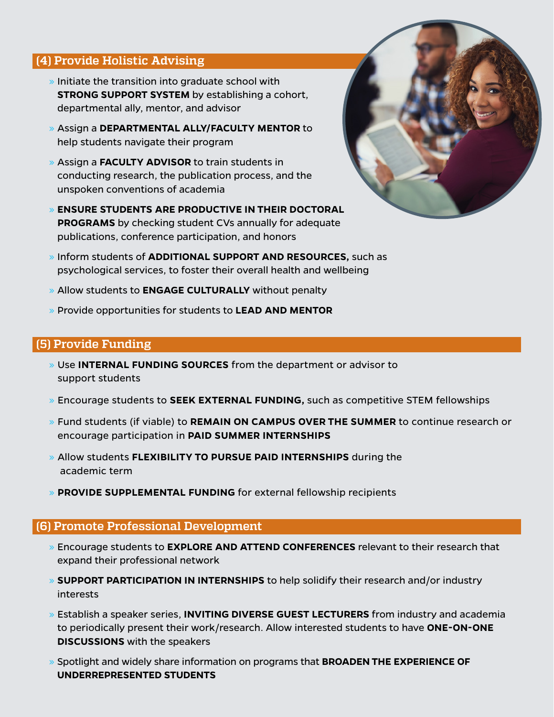#### **(4) Provide Holistic Advising**

- $\ast$  Initiate the transition into graduate school with **STRONG SUPPORT SYSTEM** by establishing a cohort, departmental ally, mentor, and advisor
- » Assign a **DEPARTMENTAL ALLY/FACULTY MENTOR** to help students navigate their program
- » Assign a **FACULTY ADVISOR** to train students in conducting research, the publication process, and the unspoken conventions of academia
- » **ENSURE STUDENTS ARE PRODUCTIVE IN THEIR DOCTORAL PROGRAMS** by checking student CVs annually for adequate publications, conference participation, and honors
- » Inform students of **ADDITIONAL SUPPORT AND RESOURCES,** such as psychological services, to foster their overall health and wellbeing
- » Allow students to **ENGAGE CULTURALLY** without penalty
- » Provide opportunities for students to **LEAD AND MENTOR**

#### **(5) Provide Funding**

- » Use **INTERNAL FUNDING SOURCES** from the department or advisor to support students
- » Encourage students to **SEEK EXTERNAL FUNDING,** such as competitive STEM fellowships
- » Fund students (if viable) to **REMAIN ON CAMPUS OVER THE SUMMER** to continue research or encourage participation in **PAID SUMMER INTERNSHIPS**
- » Allow students **FLEXIBILITY TO PURSUE PAID INTERNSHIPS** during the academic term
- » **PROVIDE SUPPLEMENTAL FUNDING** for external fellowship recipients

#### **(6) Promote Professional Development**

- » Encourage students to **EXPLORE AND ATTEND CONFERENCES** relevant to their research that expand their professional network
- » **SUPPORT PARTICIPATION IN INTERNSHIPS** to help solidify their research and/or industry interests
- » Establish a speaker series, **INVITING DIVERSE GUEST LECTURERS** from industry and academia to periodically present their work/research. Allow interested students to have **ONE-ON-ONE DISCUSSIONS** with the speakers
- » Spotlight and widely share information on programs that **BROADEN THE EXPERIENCE OF UNDERREPRESENTED STUDENTS**